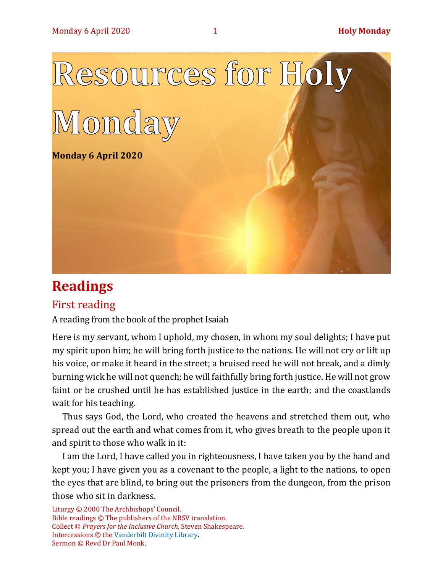

## **Readings**

### First reading

A reading from the book of the prophet Isaiah

Here is my servant, whom I uphold, my chosen, in whom my soul delights; I have put my spirit upon him; he will bring forth justice to the nations. He will not cry or lift up his voice, or make it heard in the street; a bruised reed he will not break, and a dimly burning wick he will not quench; he will faithfully bring forth justice. He will not grow faint or be crushed until he has established justice in the earth; and the coastlands wait for his teaching.

Thus says God, the Lord, who created the heavens and stretched them out, who spread out the earth and what comes from it, who gives breath to the people upon it and spirit to those who walk in it:

I am the Lord, I have called you in righteousness, I have taken you by the hand and kept you; I have given you as a covenant to the people, a light to the nations, to open the eyes that are blind, to bring out the prisoners from the dungeon, from the prison those who sit in darkness.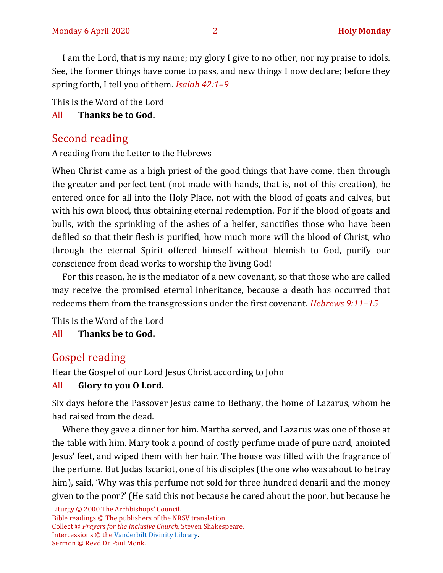I am the Lord, that is my name; my glory I give to no other, nor my praise to idols. See, the former things have come to pass, and new things I now declare; before they spring forth, I tell you of them. *Isaiah 42:1–9*

This is the Word of the Lord All **Thanks be to God.**

### Second reading

A reading from the Letter to the Hebrews

When Christ came as a high priest of the good things that have come, then through the greater and perfect tent (not made with hands, that is, not of this creation), he entered once for all into the Holy Place, not with the blood of goats and calves, but with his own blood, thus obtaining eternal redemption. For if the blood of goats and bulls, with the sprinkling of the ashes of a heifer, sanctifies those who have been defiled so that their flesh is purified, how much more will the blood of Christ, who through the eternal Spirit offered himself without blemish to God, purify our conscience from dead works to worship the living God!

For this reason, he is the mediator of a new covenant, so that those who are called may receive the promised eternal inheritance, because a death has occurred that redeems them from the transgressions under the first covenant. *Hebrews 9:11–15*

This is the Word of the Lord

All **Thanks be to God.**

### Gospel reading

Hear the Gospel of our Lord Jesus Christ according to John

### All **Glory to you O Lord.**

Six days before the Passover Jesus came to Bethany, the home of Lazarus, whom he had raised from the dead.

Where they gave a dinner for him. Martha served, and Lazarus was one of those at the table with him. Mary took a pound of costly perfume made of pure nard, anointed Jesus' feet, and wiped them with her hair. The house was filled with the fragrance of the perfume. But Judas Iscariot, one of his disciples (the one who was about to betray him), said, 'Why was this perfume not sold for three hundred denarii and the money given to the poor?' (He said this not because he cared about the poor, but because he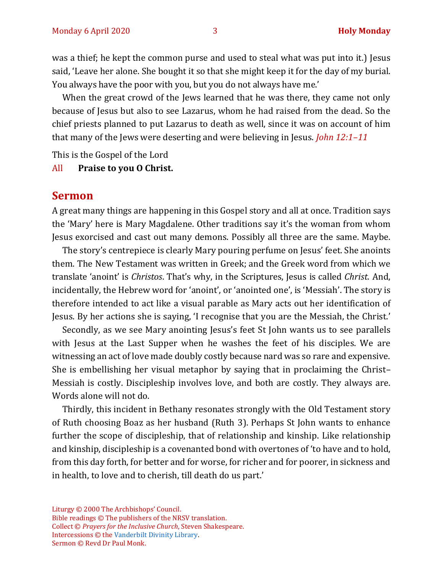was a thief; he kept the common purse and used to steal what was put into it.) Jesus said, 'Leave her alone. She bought it so that she might keep it for the day of my burial. You always have the poor with you, but you do not always have me.'

When the great crowd of the Jews learned that he was there, they came not only because of Jesus but also to see Lazarus, whom he had raised from the dead. So the chief priests planned to put Lazarus to death as well, since it was on account of him that many of the Jews were deserting and were believing in Jesus. *John 12:1–11*

This is the Gospel of the Lord

#### All **Praise to you O Christ.**

#### **Sermon**

A great many things are happening in this Gospel story and all at once. Tradition says the 'Mary' here is Mary Magdalene. Other traditions say it's the woman from whom Jesus exorcised and cast out many demons. Possibly all three are the same. Maybe.

The story's centrepiece is clearly Mary pouring perfume on Jesus' feet. She anoints them. The New Testament was written in Greek; and the Greek word from which we translate 'anoint' is *Christos*. That's why, in the Scriptures, Jesus is called *Christ*. And, incidentally, the Hebrew word for 'anoint', or 'anointed one', is 'Messiah'. The story is therefore intended to act like a visual parable as Mary acts out her identification of Jesus. By her actions she is saying, 'I recognise that you are the Messiah, the Christ.'

Secondly, as we see Mary anointing Jesus's feet St John wants us to see parallels with Jesus at the Last Supper when he washes the feet of his disciples. We are witnessing an act of love made doubly costly because nard was so rare and expensive. She is embellishing her visual metaphor by saying that in proclaiming the Christ– Messiah is costly. Discipleship involves love, and both are costly. They always are. Words alone will not do.

Thirdly, this incident in Bethany resonates strongly with the Old Testament story of Ruth choosing Boaz as her husband (Ruth 3). Perhaps St John wants to enhance further the scope of discipleship, that of relationship and kinship. Like relationship and kinship, discipleship is a covenanted bond with overtones of 'to have and to hold, from this day forth, for better and for worse, for richer and for poorer, in sickness and in health, to love and to cherish, till death do us part.'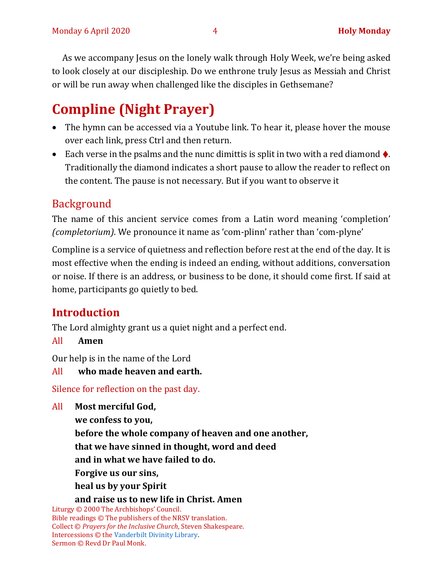As we accompany Jesus on the lonely walk through Holy Week, we're being asked to look closely at our discipleship. Do we enthrone truly Jesus as Messiah and Christ or will be run away when challenged like the disciples in Gethsemane?

# **Compline (Night Prayer)**

- The hymn can be accessed via a Youtube link. To hear it, please hover the mouse over each link, press Ctrl and then return.
- Each verse in the psalms and the nunc dimittis is split in two with a red diamond  $\bullet$ . Traditionally the diamond indicates a short pause to allow the reader to reflect on the content. The pause is not necessary. But if you want to observe it

### Background

The name of this ancient service comes from a Latin word meaning 'completion' *(completorium)*. We pronounce it name as 'com-plinn' rather than 'com-plyne'

Compline is a service of quietness and reflection before rest at the end of the day. It is most effective when the ending is indeed an ending, without additions, conversation or noise. If there is an address, or business to be done, it should come first. If said at home, participants go quietly to bed.

### **Introduction**

The Lord almighty grant us a quiet night and a perfect end.

#### All **Amen**

Our help is in the name of the Lord

All **who made heaven and earth.**

Silence for reflection on the past day.

- All **Most merciful God,**
	- **we confess to you,**

**before the whole company of heaven and one another,**

**that we have sinned in thought, word and deed**

**and in what we have failed to do.**

**Forgive us our sins,**

**heal us by your Spirit**

#### **and raise us to new life in Christ. Amen**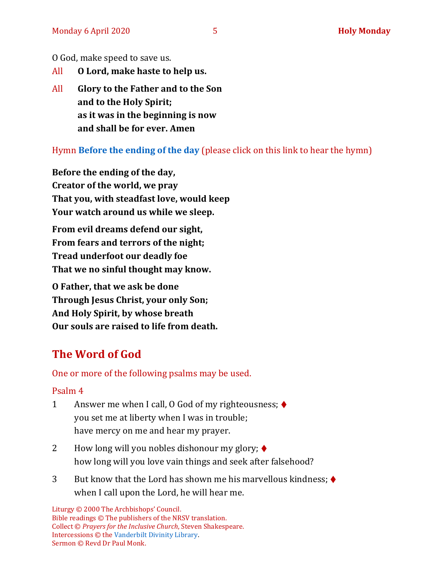O God, make speed to save us.

- All **O Lord, make haste to help us.**
- All **Glory to the Father and to the Son and to the Holy Spirit; as it was in the beginning is now and shall be for ever. Amen**

#### Hymn **[Before the ending of the day](https://www.youtube.com/watch?v=3SiamHnQYmw)** (please click on this link to hear the hymn)

**Before the ending of the day, Creator of the world, we pray That you, with steadfast love, would keep Your watch around us while we sleep.**

**From evil dreams defend our sight, From fears and terrors of the night; Tread underfoot our deadly foe That we no sinful thought may know.**

**O Father, that we ask be done Through Jesus Christ, your only Son; And Holy Spirit, by whose breath Our souls are raised to life from death.**

### **The Word of God**

One or more of the following psalms may be used.

#### Psalm 4

- 1 Answer me when I call, O God of my righteousness; ♦ you set me at liberty when I was in trouble; have mercy on me and hear my prayer.
- 2 How long will you nobles dishonour my glory;  $\blacklozenge$ how long will you love vain things and seek after falsehood?
- 3 But know that the Lord has shown me his marvellous kindness;  $\blacklozenge$ when I call upon the Lord, he will hear me.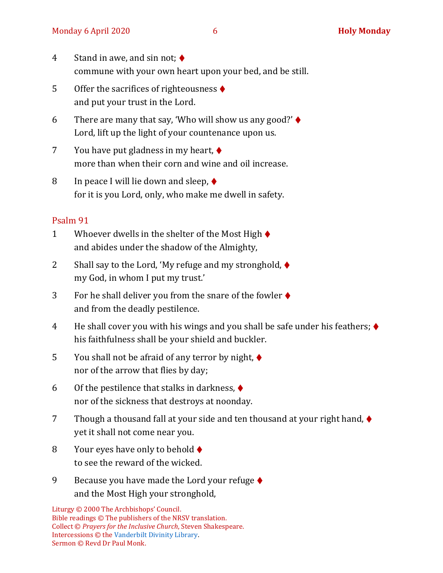- 4 Stand in awe, and sin not;  $\blacklozenge$ commune with your own heart upon your bed, and be still.
- 5 Offer the sacrifices of righteousness ♦ and put your trust in the Lord.
- 6 There are many that say, 'Who will show us any good?'  $\blacklozenge$ Lord, lift up the light of your countenance upon us.
- 7 You have put gladness in my heart, ♦ more than when their corn and wine and oil increase.
- 8 In peace I will lie down and sleep, ♦ for it is you Lord, only, who make me dwell in safety.

#### Psalm 91

- 1 Whoever dwells in the shelter of the Most High  $\blacklozenge$ and abides under the shadow of the Almighty,
- 2 Shall say to the Lord, 'My refuge and my stronghold, ♦ my God, in whom I put my trust.'
- 3 For he shall deliver you from the snare of the fowler ♦ and from the deadly pestilence.
- 4 He shall cover you with his wings and you shall be safe under his feathers;  $\blacklozenge$ his faithfulness shall be your shield and buckler.
- 5 You shall not be afraid of any terror by night, ♦ nor of the arrow that flies by day;
- 6 Of the pestilence that stalks in darkness,  $\blacklozenge$ nor of the sickness that destroys at noonday.
- 7 Though a thousand fall at your side and ten thousand at your right hand, ♦ yet it shall not come near you.
- 8 Your eyes have only to behold  $\blacklozenge$ to see the reward of the wicked.
- 9 Because you have made the Lord your refuge ♦ and the Most High your stronghold,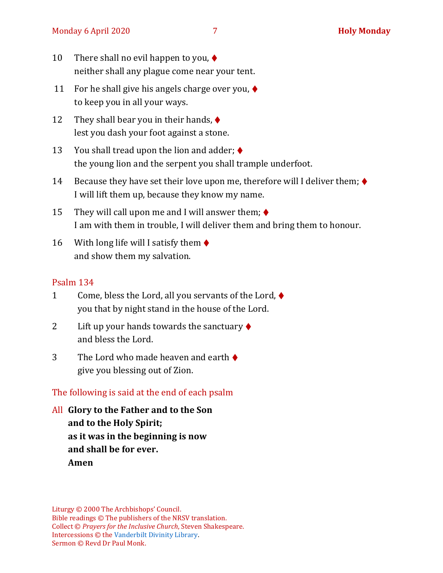- 10 There shall no evil happen to you,  $\blacklozenge$ neither shall any plague come near your tent.
- 11 For he shall give his angels charge over you,  $\blacklozenge$ to keep you in all your ways.
- 12 They shall bear you in their hands,  $\blacklozenge$ lest you dash your foot against a stone.
- 13 You shall tread upon the lion and adder;  $\blacklozenge$ the young lion and the serpent you shall trample underfoot.
- 14 Because they have set their love upon me, therefore will I deliver them;  $\blacklozenge$ I will lift them up, because they know my name.
- 15 They will call upon me and I will answer them;  $\triangleleft$ I am with them in trouble, I will deliver them and bring them to honour.
- 16 With long life will I satisfy them  $\triangle$ and show them my salvation.

#### Psalm 134

- 1 Come, bless the Lord, all you servants of the Lord, ♦ you that by night stand in the house of the Lord.
- 2 Lift up your hands towards the sanctuary  $\triangle$ and bless the Lord.
- 3 The Lord who made heaven and earth ♦ give you blessing out of Zion.

#### The following is said at the end of each psalm

All **Glory to the Father and to the Son and to the Holy Spirit; as it was in the beginning is now and shall be for ever. Amen**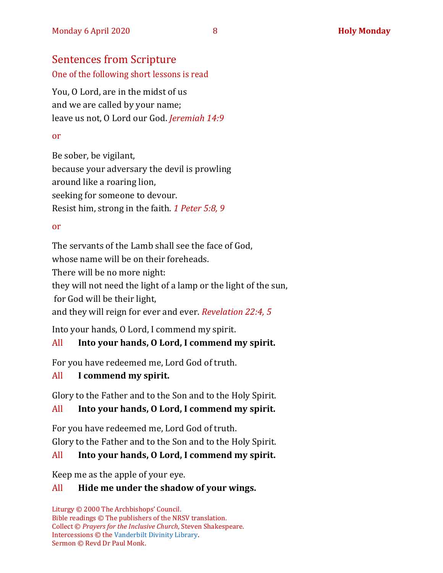### Sentences from Scripture

One of the following short lessons is read

You, O Lord, are in the midst of us and we are called by your name; leave us not, O Lord our God. *Jeremiah 14:9*

#### or

Be sober, be vigilant, because your adversary the devil is prowling around like a roaring lion, seeking for someone to devour. Resist him, strong in the faith. *1 Peter 5:8, 9*

#### or

The servants of the Lamb shall see the face of God,

whose name will be on their foreheads.

There will be no more night:

they will not need the light of a lamp or the light of the sun,

for God will be their light,

and they will reign for ever and ever. *Revelation 22:4, 5*

Into your hands, O Lord, I commend my spirit.

### All **Into your hands, O Lord, I commend my spirit.**

For you have redeemed me, Lord God of truth.

#### All **I commend my spirit.**

Glory to the Father and to the Son and to the Holy Spirit.

### All **Into your hands, O Lord, I commend my spirit.**

For you have redeemed me, Lord God of truth.

Glory to the Father and to the Son and to the Holy Spirit.

### All **Into your hands, O Lord, I commend my spirit.**

Keep me as the apple of your eye.

#### All **Hide me under the shadow of your wings.**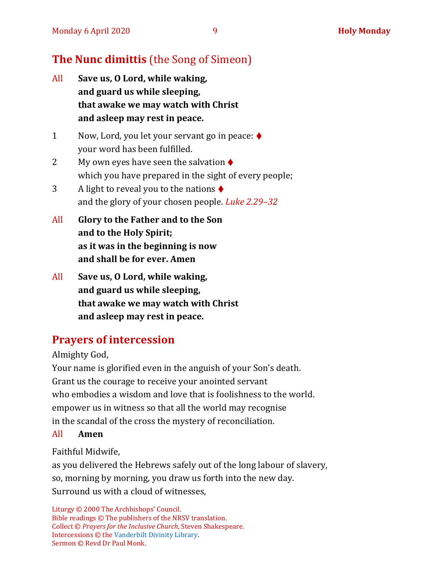### **The Nunc dimittis** (the Song of Simeon)

- All **Save us, O Lord, while waking, and guard us while sleeping, that awake we may watch with Christ and asleep may rest in peace.**
- 1 Now, Lord, you let your servant go in peace: ♦ your word has been fulfilled.
- 2 My own eyes have seen the salvation  $\blacklozenge$ which you have prepared in the sight of every people;
- 3 A light to reveal you to the nations  $\blacklozenge$ and the glory of your chosen people. *Luke 2.29–32*
- All **Glory to the Father and to the Son and to the Holy Spirit; as it was in the beginning is now and shall be for ever. Amen**
- All **Save us, O Lord, while waking, and guard us while sleeping, that awake we may watch with Christ and asleep may rest in peace.**

### **Prayers of intercession**

Almighty God,

Your name is glorified even in the anguish of your Son's death. Grant us the courage to receive your anointed servant who embodies a wisdom and love that is foolishness to the world. empower us in witness so that all the world may recognise in the scandal of the cross the mystery of reconciliation.

All **Amen**

Faithful Midwife,

as you delivered the Hebrews safely out of the long labour of slavery, so, morning by morning, you draw us forth into the new day. Surround us with a cloud of witnesses,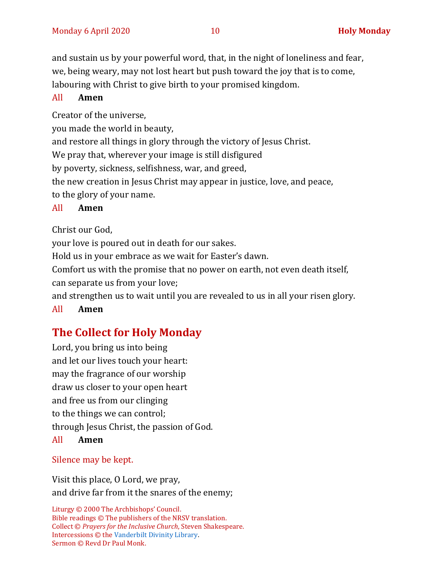and sustain us by your powerful word, that, in the night of loneliness and fear, we, being weary, may not lost heart but push toward the joy that is to come, labouring with Christ to give birth to your promised kingdom.

#### All **Amen**

Creator of the universe,

you made the world in beauty,

and restore all things in glory through the victory of Jesus Christ.

We pray that, wherever your image is still disfigured

by poverty, sickness, selfishness, war, and greed,

the new creation in Jesus Christ may appear in justice, love, and peace, to the glory of your name.

#### All **Amen**

Christ our God,

your love is poured out in death for our sakes.

Hold us in your embrace as we wait for Easter's dawn.

Comfort us with the promise that no power on earth, not even death itself,

can separate us from your love;

and strengthen us to wait until you are revealed to us in all your risen glory.

All **Amen**

### **The Collect for Holy Monday**

Lord, you bring us into being and let our lives touch your heart: may the fragrance of our worship draw us closer to your open heart and free us from our clinging to the things we can control; through Jesus Christ, the passion of God.

All **Amen**

#### Silence may be kept.

Visit this place, O Lord, we pray, and drive far from it the snares of the enemy;